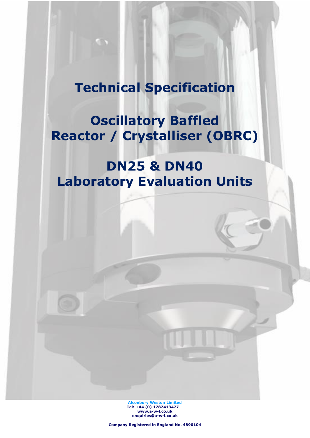# **Technical Specification**

**Oscillatory Baffled Reactor / Crystalliser (OBRC)**

# **DN25 & DN40 Laboratory Evaluation Units**

**Alconbury Weston Limited Tel: +44 (0) 1782413427 [www.a-w-l.co.uk](http://www.a-w-l.co.uk/) enquiries@a-w-l.co.uk**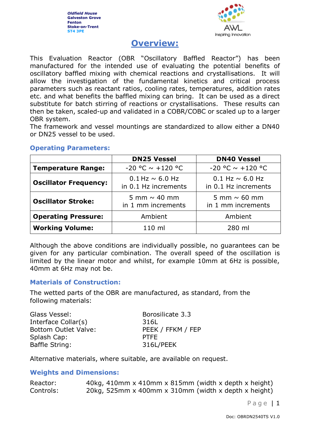

# **Overview:**

This Evaluation Reactor (OBR "Oscillatory Baffled Reactor") has been manufactured for the intended use of evaluating the potential benefits of oscillatory baffled mixing with chemical reactions and crystallisations. It will allow the investigation of the fundamental kinetics and critical process parameters such as reactant ratios, cooling rates, temperatures, addition rates etc. and what benefits the baffled mixing can bring. It can be used as a direct substitute for batch stirring of reactions or crystallisations. These results can then be taken, scaled-up and validated in a COBR/COBC or scaled up to a larger OBR system.

The framework and vessel mountings are standardized to allow either a DN40 or DN25 vessel to be used.

|                              | <b>DN25 Vessel</b>                                                                 | <b>DN40 Vessel</b>                             |
|------------------------------|------------------------------------------------------------------------------------|------------------------------------------------|
| <b>Temperature Range:</b>    | $-20$ °C $\sim$ +120 °C                                                            | $-20$ °C $\sim$ +120 °C                        |
| <b>Oscillator Frequency:</b> | $0.1$ Hz $\sim$ 6.0 Hz<br>in 0.1 Hz increments                                     | $0.1$ Hz $\sim$ 6.0 Hz<br>in 0.1 Hz increments |
| <b>Oscillator Stroke:</b>    | 5 mm $\sim$ 40 mm<br>5 mm $\sim$ 60 mm<br>in 1 mm increments<br>in 1 mm increments |                                                |
| <b>Operating Pressure:</b>   | Ambient<br>Ambient                                                                 |                                                |
| <b>Working Volume:</b>       | 110 ml                                                                             | 280 ml                                         |

#### **Operating Parameters:**

Although the above conditions are individually possible, no guarantees can be given for any particular combination. The overall speed of the oscillation is limited by the linear motor and whilst, for example 10mm at 6Hz is possible, 40mm at 6Hz may not be.

#### **Materials of Construction:**

The wetted parts of the OBR are manufactured, as standard, from the following materials:

| Glass Vessel:               | Borosilicate 3.3  |
|-----------------------------|-------------------|
| Interface Collar(s)         | 316L              |
| <b>Bottom Outlet Valve:</b> | PEEK / FFKM / FEP |
| Splash Cap:                 | <b>PTFF</b>       |
| Baffle String:              | 316L/PEEK         |

Alternative materials, where suitable, are available on request.

#### **Weights and Dimensions:**

| Reactor:  | 40kg, 410mm x 410mm x 815mm (width x depth x height) |
|-----------|------------------------------------------------------|
| Controls: | 20kg, 525mm x 400mm x 310mm (width x depth x height) |

Page | 1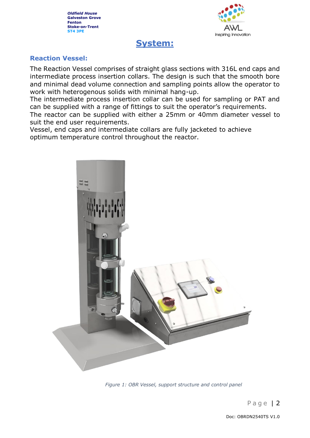

# **System:**

## **Reaction Vessel:**

The Reaction Vessel comprises of straight glass sections with 316L end caps and intermediate process insertion collars. The design is such that the smooth bore and minimal dead volume connection and sampling points allow the operator to work with heterogenous solids with minimal hang-up.

The intermediate process insertion collar can be used for sampling or PAT and can be supplied with a range of fittings to suit the operator's requirements.

The reactor can be supplied with either a 25mm or 40mm diameter vessel to suit the end user requirements.

Vessel, end caps and intermediate collars are fully jacketed to achieve optimum temperature control throughout the reactor.



*Figure 1: OBR Vessel, support structure and control panel*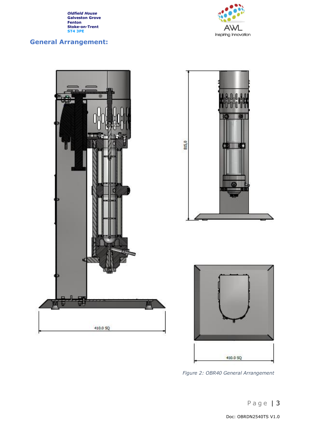# **General Arrangement:**





Doc: OBRDN2540TS V1.0

*Figure 2: OBR40 General Arrangement*

410.0 SQ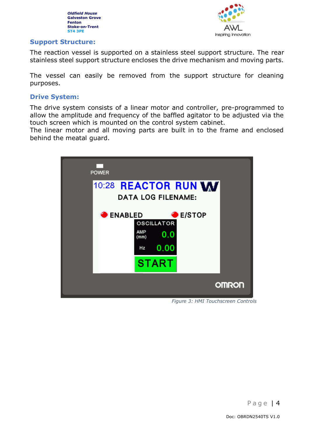

#### **Support Structure:**

The reaction vessel is supported on a stainless steel support structure. The rear stainless steel support structure encloses the drive mechanism and moving parts.

The vessel can easily be removed from the support structure for cleaning purposes.

#### **Drive System:**

The drive system consists of a linear motor and controller, pre-programmed to allow the amplitude and frequency of the baffled agitator to be adjusted via the touch screen which is mounted on the control system cabinet.

The linear motor and all moving parts are built in to the frame and enclosed behind the meatal guard.



*Figure 3: HMI Touchscreen Controls*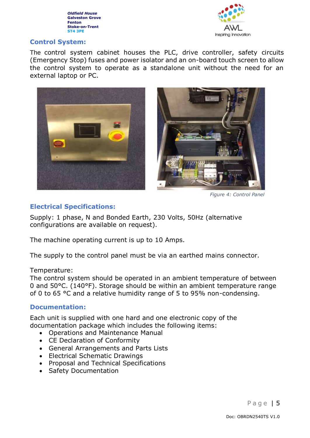



# **Control System:**

The control system cabinet houses the PLC, drive controller, safety circuits (Emergency Stop) fuses and power isolator and an on-board touch screen to allow the control system to operate as a standalone unit without the need for an external laptop or PC.





*Figure 4: Control Panel*

# **Electrical Specifications:**

Supply: 1 phase, N and Bonded Earth, 230 Volts, 50Hz (alternative configurations are available on request).

The machine operating current is up to 10 Amps.

The supply to the control panel must be via an earthed mains connector.

#### Temperature:

The control system should be operated in an ambient temperature of between 0 and 50°C. (140°F). Storage should be within an ambient temperature range of 0 to 65 °C and a relative humidity range of 5 to 95% non-condensing.

# **Documentation:**

Each unit is supplied with one hard and one electronic copy of the documentation package which includes the following items:

- Operations and Maintenance Manual
- CE Declaration of Conformity
- General Arrangements and Parts Lists
- Electrical Schematic Drawings
- Proposal and Technical Specifications
- Safety Documentation

Page | 5